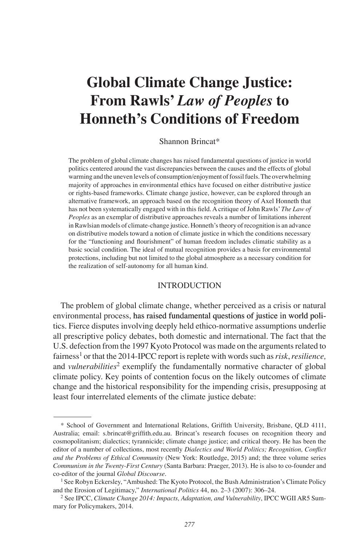# **Global Climate Change Justice: From Rawls'** *Law of Peoples* **to Honneth's Conditions of Freedom**

Shannon Brincat\*

The problem of global climate changes has raised fundamental questions of justice in world politics centered around the vast discrepancies between the causes and the effects of global warming and the uneven levels of consumption/enjoyment of fossil fuels. The overwhelming majority of approaches in environmental ethics have focused on either distributive justice or rights-based frameworks. Climate change justice, however, can be explored through an alternative framework, an approach based on the recognition theory of Axel Honneth that has not been systematically engaged with in this field. A critique of John Rawls' *The Law of Peoples* as an exemplar of distributive approaches reveals a number of limitations inherent in Rawlsian models of climate-change justice. Honneth's theory of recognition is an advance on distributive models toward a notion of climate justice in which the conditions necessary for the "functioning and flourishment" of human freedom includes climatic stability as a basic social condition. The ideal of mutual recognition provides a basis for environmental protections, including but not limited to the global atmosphere as a necessary condition for the realization of self-autonomy for all human kind.

# **INTRODUCTION**

The problem of global climate change, whether perceived as a crisis or natural environmental process, has raised fundamental questions of justice in world politics. Fierce disputes involving deeply held ethico-normative assumptions underlie all prescriptive policy debates, both domestic and international. The fact that the U.S. defection from the 1997 Kyoto Protocol was made on the arguments related to fairness1 or that the 2014-IPCC report is replete with words such as *risk*, *resilience,* and *vulnerabilities*<sup>2</sup> exemplify the fundamentally normative character of global climate policy. Key points of contention focus on the likely outcomes of climate change and the historical responsibility for the impending crisis, presupposing at least four interrelated elements of the climate justice debate:

<sup>\*</sup> School of Government and International Relations, Griffith University, Brisbane, QLD 4111, Australia; email: s.brincat@griffith.edu.au. Brincat's research focuses on recognition theory and cosmopolitanism; dialectics; tyrannicide; climate change justice; and critical theory. He has been the editor of a number of collections, most recently *Dialectics and World Politics; Recognition, Conflict and the Problems of Ethical Community* (New York: Routledge, 2015) and; the three volume series *Communism in the Twenty-First Century* (Santa Barbara: Praeger, 2013). He is also to co-founder and co-editor of the journal *Global Discourse*.<br><sup>1</sup> See Robyn Eckersley, "Ambushed: The Kyoto Protocol, the Bush Administration's Climate Policy

and the Erosion of Legitimacy," *International Politics* 44, no. 2–3 (2007): 306–24.

<sup>2</sup> See IPCC, *Climate Change 2014: Impacts, Adaptation, and Vulnerability*, IPCC WGII AR5 Summary for Policymakers, 2014.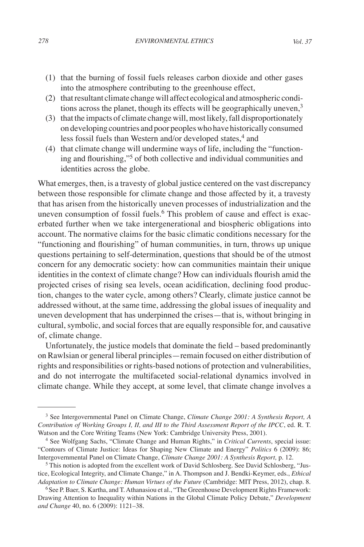- (1) that the burning of fossil fuels releases carbon dioxide and other gases into the atmosphere contributing to the greenhouse effect,
- (2) that resultant climate change will affect ecological and atmospheric conditions across the planet, though its effects will be geographically uneven, $3$
- (3) that the impacts of climate change will, most likely, fall disproportionately on developing countries and poor peoples who have historically consumed less fossil fuels than Western and/or developed states,<sup>4</sup> and
- (4) that climate change will undermine ways of life, including the "functioning and flourishing,"5 of both collective and individual communities and identities across the globe.

What emerges, then, is a travesty of global justice centered on the vast discrepancy between those responsible for climate change and those affected by it, a travesty that has arisen from the historically uneven processes of industrialization and the uneven consumption of fossil fuels.<sup>6</sup> This problem of cause and effect is exacerbated further when we take intergenerational and biospheric obligations into account. The normative claims for the basic climatic conditions necessary for the "functioning and flourishing" of human communities, in turn, throws up unique questions pertaining to self-determination, questions that should be of the utmost concern for any democratic society: how can communities maintain their unique identities in the context of climate change? How can individuals flourish amid the projected crises of rising sea levels, ocean acidification, declining food production, changes to the water cycle, among others? Clearly, climate justice cannot be addressed without, at the same time, addressing the global issues of inequality and uneven development that has underpinned the crises—that is, without bringing in cultural, symbolic, and social forces that are equally responsible for, and causative of, climate change.

Unfortunately, the justice models that dominate the field – based predominantly on Rawlsian or general liberal principles—remain focused on either distribution of rights and responsibilities or rights-based notions of protection and vulnerabilities, and do not interrogate the multifaceted social-relational dynamics involved in climate change. While they accept, at some level, that climate change involves a

<sup>3</sup> See Intergovernmental Panel on Climate Change, *Climate Change 2001: A Synthesis Report, A Contribution of Working Groups I, II, and III to the Third Assessment Report of the IPCC*, ed. R. T.

<sup>&</sup>lt;sup>4</sup> See Wolfgang Sachs, "Climate Change and Human Rights," in *Critical Currents*, special issue: "Contours of Climate Justice: Ideas for Shaping New Climate and Energy" *Politics* 6 (2009): 86; Intergovernmental Panel on Climate Change, *Climate Change 2001: A Synthesis Report,* p. 12.

<sup>5</sup> This notion is adopted from the excellent work of David Schlosberg. See David Schlosberg, "Justice, Ecological Integrity, and Climate Change," in A. Thompson and J. Bendki-Keymer, eds., *Ethical Adaptation to Climate Change: Human Virtues of the Future* (Cambridge: MIT Press, 2012), chap. 8.

<sup>&</sup>lt;sup>6</sup> See P. Baer, S. Kartha, and T. Athanasiou et al., "The Greenhouse Development Rights Framework: Drawing Attention to Inequality within Nations in the Global Climate Policy Debate," *Development and Change* 40, no. 6 (2009): 1121–38.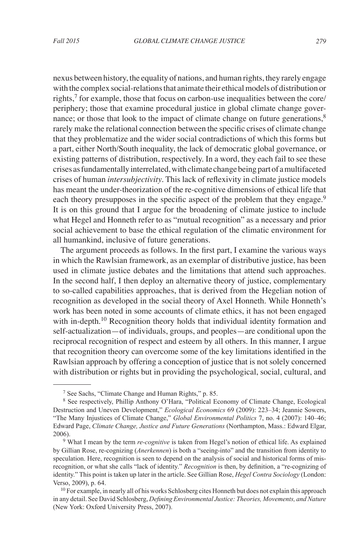nexus between history, the equality of nations, and human rights, they rarely engage with the complex social-relations that animate their ethical models of distribution or rights, $7$  for example, those that focus on carbon-use inequalities between the core/ periphery; those that examine procedural justice in global climate change governance; or those that look to the impact of climate change on future generations,<sup>8</sup> rarely make the relational connection between the specific crises of climate change that they problematize and the wider social contradictions of which this forms but a part, either North/South inequality, the lack of democratic global governance, or existing patterns of distribution, respectively. In a word, they each fail to see these crises as fundamentally interrelated, with climate change being part of a multifaceted crises of human *intersubjectivity*. This lack of reflexivity in climate justice models has meant the under-theorization of the re-cognitive dimensions of ethical life that each theory presupposes in the specific aspect of the problem that they engage.<sup>9</sup> It is on this ground that I argue for the broadening of climate justice to include what Hegel and Honneth refer to as "mutual recognition" as a necessary and prior social achievement to base the ethical regulation of the climatic environment for all humankind, inclusive of future generations.

The argument proceeds as follows. In the first part, I examine the various ways in which the Rawlsian framework, as an exemplar of distributive justice, has been used in climate justice debates and the limitations that attend such approaches. In the second half, I then deploy an alternative theory of justice, complementary to so-called capabilities approaches, that is derived from the Hegelian notion of recognition as developed in the social theory of Axel Honneth. While Honneth's work has been noted in some accounts of climate ethics, it has not been engaged with in-depth.<sup>10</sup> Recognition theory holds that individual identity formation and self-actualization—of individuals, groups, and peoples—are conditional upon the reciprocal recognition of respect and esteem by all others. In this manner, I argue that recognition theory can overcome some of the key limitations identified in the Rawlsian approach by offering a conception of justice that is not solely concerned with distribution or rights but in providing the psychological, social, cultural, and

 $<sup>7</sup>$  See Sachs, "Climate Change and Human Rights," p. 85.</sup>

<sup>&</sup>lt;sup>8</sup> See respectively, Phillip Anthony O'Hara, "Political Economy of Climate Change, Ecological Destruction and Uneven Development," *Ecological Economics* 69 (2009): 223–34; Jeannie Sowers, "The Many Injustices of Climate Change," *Global Environmental Politics* 7, no. 4 (2007): 140–46; Edward Page, *Climate Change, Justice and Future Generations* (Northampton, Mass.: Edward Elgar, 2006).

<sup>&</sup>lt;sup>9</sup> What I mean by the term *re-cognitive* is taken from Hegel's notion of ethical life. As explained by Gillian Rose, re-cognizing (*Anerkennen*) is both a "seeing-into" and the transition from identity to speculation. Here, recognition is seen to depend on the analysis of social and historical forms of misrecognition, or what she calls "lack of identity." *Recognition* is then, by definition, a "re-cognizing of identity." This point is taken up later in the article. See Gillian Rose, *Hegel Contra Sociology* (London: Verso, 2009), p. 64.

<sup>&</sup>lt;sup>10</sup> For example, in nearly all of his works Schlosberg cites Honneth but does not explain this approach in any detail. See David Schlosberg, *Defining Environmental Justice: Theories, Movements, and Nature* (New York: Oxford University Press, 2007).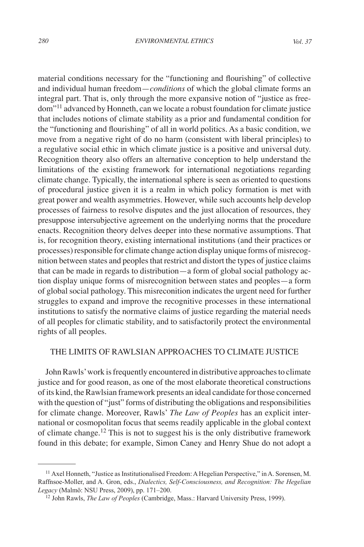material conditions necessary for the "functioning and flourishing" of collective and individual human freedom—*conditions* of which the global climate forms an integral part. That is, only through the more expansive notion of "justice as freedom"11 advanced by Honneth, can we locate a robust foundation for climate justice that includes notions of climate stability as a prior and fundamental condition for the "functioning and flourishing" of all in world politics. As a basic condition, we move from a negative right of do no harm (consistent with liberal principles) to a regulative social ethic in which climate justice is a positive and universal duty. Recognition theory also offers an alternative conception to help understand the limitations of the existing framework for international negotiations regarding climate change. Typically, the international sphere is seen as oriented to questions of procedural justice given it is a realm in which policy formation is met with great power and wealth asymmetries. However, while such accounts help develop processes of fairness to resolve disputes and the just allocation of resources, they presuppose intersubjective agreement on the underlying norms that the procedure enacts. Recognition theory delves deeper into these normative assumptions. That is, for recognition theory, existing international institutions (and their practices or processes) responsible for climate change action display unique forms of misrecognition between states and peoples that restrict and distort the types of justice claims that can be made in regards to distribution—a form of global social pathology action display unique forms of misrecognition between states and peoples—a form of global social pathology. This misreconition indicates the urgent need for further struggles to expand and improve the recognitive processes in these international institutions to satisfy the normative claims of justice regarding the material needs of all peoples for climatic stability, and to satisfactorily protect the environmental rights of all peoples.

# THE LIMITS OF RAWLSIAN APPROACHES TO CLIMATE JUSTICE

John Rawls' work is frequently encountered in distributive approaches to climate justice and for good reason, as one of the most elaborate theoretical constructions of its kind, the Rawlsian framework presents an ideal candidate for those concerned with the question of "just" forms of distributing the obligations and responsibilities for climate change. Moreover, Rawls' *The Law of Peoples* has an explicit international or cosmopolitan focus that seems readily applicable in the global context of climate change.<sup>12</sup> This is not to suggest his is the only distributive framework found in this debate; for example, Simon Caney and Henry Shue do not adopt a

<sup>&</sup>lt;sup>11</sup> Axel Honneth, "Justice as Institutionalised Freedom: A Hegelian Perspective," in A. Sorensen, M. Raffnsoe-Moller, and A. Gron, eds., *Dialectics, Self-Consciousness, and Recognition: The Hegelian Legacy* (Malmö: NSU Press, 2009), pp. 171–200.

<sup>12</sup> John Rawls, *The Law of Peoples* (Cambridge, Mass.: Harvard University Press, 1999).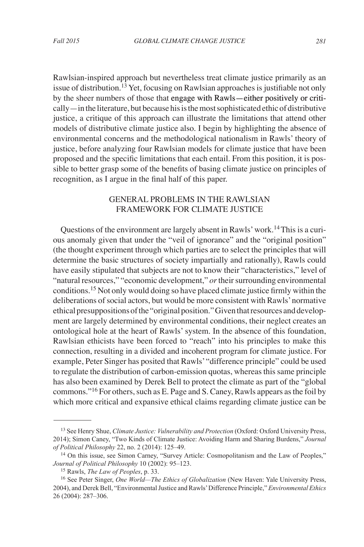Rawlsian-inspired approach but nevertheless treat climate justice primarily as an issue of distribution.<sup>13</sup> Yet, focusing on Rawlsian approaches is justifiable not only by the sheer numbers of those that engage with Rawls—either positively or critically—in the literature, but because his is the most sophisticated ethic of distributive justice, a critique of this approach can illustrate the limitations that attend other models of distributive climate justice also. I begin by highlighting the absence of environmental concerns and the methodological nationalism in Rawls' theory of justice, before analyzing four Rawlsian models for climate justice that have been proposed and the specific limitations that each entail. From this position, it is possible to better grasp some of the benefits of basing climate justice on principles of recognition, as I argue in the final half of this paper.

# GENERAL PROBLEMS IN THE RAWLSIAN FRAMEWORK FOR CLIMATE JUSTICE

Questions of the environment are largely absent in Rawls' work.14 This is a curious anomaly given that under the "veil of ignorance" and the "original position" (the thought experiment through which parties are to select the principles that will determine the basic structures of society impartially and rationally), Rawls could have easily stipulated that subjects are not to know their "characteristics," level of "natural resources," "economic development," *or* their surrounding environmental conditions.15 Not only would doing so have placed climate justice firmly within the deliberations of social actors, but would be more consistent with Rawls' normative ethical presuppositions of the "original position." Given that resources and development are largely determined by environmental conditions, their neglect creates an ontological hole at the heart of Rawls' system. In the absence of this foundation, Rawlsian ethicists have been forced to "reach" into his principles to make this connection, resulting in a divided and incoherent program for climate justice. For example, Peter Singer has posited that Rawls' "difference principle" could be used to regulate the distribution of carbon-emission quotas, whereas this same principle has also been examined by Derek Bell to protect the climate as part of the "global commons."16 For others, such as E. Page and S. Caney, Rawls appears as the foil by which more critical and expansive ethical claims regarding climate justice can be

<sup>13</sup> See Henry Shue, *Climate Justice: Vulnerability and Protection* (Oxford: Oxford University Press, 2014); Simon Caney, "Two Kinds of Climate Justice: Avoiding Harm and Sharing Burdens," *Journal of Political Philosophy* 22, no. 2 (2014): 125–49.

<sup>14</sup> On this issue, see Simon Carney, "Survey Article: Cosmopolitanism and the Law of Peoples," *Journal of Political Philosophy* 10 (2002): 95–123.

<sup>15</sup> Rawls, *The Law of Peoples*, p. 33.

<sup>16</sup> See Peter Singer, *One World—The Ethics of Globalization* (New Haven: Yale University Press, 2004), and Derek Bell, "Environmental Justice and Rawls' Difference Principle," *Environmental Ethics* 26 (2004): 287–306.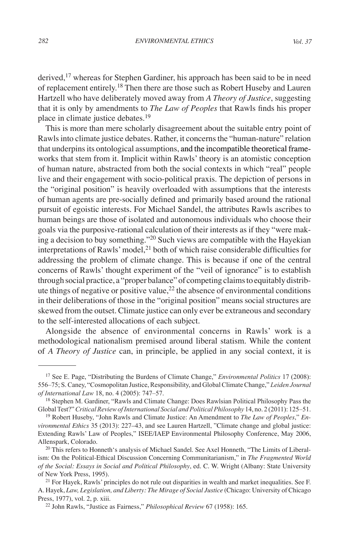derived,<sup>17</sup> whereas for Stephen Gardiner, his approach has been said to be in need of replacement entirely.18 Then there are those such as Robert Huseby and Lauren Hartzell who have deliberately moved away from *A Theory of Justice*, suggesting that it is only by amendments to *The Law of Peoples* that Rawls finds his proper place in climate justice debates.<sup>19</sup>

This is more than mere scholarly disagreement about the suitable entry point of Rawls into climate justice debates. Rather, it concerns the "human-nature" relation that underpins its ontological assumptions, and the incompatible theoretical frameworks that stem from it. Implicit within Rawls' theory is an atomistic conception of human nature, abstracted from both the social contexts in which "real" people live and their engagement with socio-political praxis. The depiction of persons in the "original position" is heavily overloaded with assumptions that the interests of human agents are pre-socially defined and primarily based around the rational pursuit of egoistic interests. For Michael Sandel, the attributes Rawls ascribes to human beings are those of isolated and autonomous individuals who choose their goals via the purposive-rational calculation of their interests as if they "were making a decision to buy something."<sup>20</sup> Such views are compatible with the Hayekian interpretations of Rawls' model,<sup>21</sup> both of which raise considerable difficulties for addressing the problem of climate change. This is because if one of the central concerns of Rawls' thought experiment of the "veil of ignorance" is to establish through social practice, a "proper balance" of competing claims to equitably distribute things of negative or positive value,  $^{22}$  the absence of environmental conditions in their deliberations of those in the "original position" means social structures are skewed from the outset. Climate justice can only ever be extraneous and secondary to the self-interested allocations of each subject.

Alongside the absence of environmental concerns in Rawls' work is a methodological nationalism premised around liberal statism. While the content of *A Theory of Justice* can, in principle, be applied in any social context, it is

<sup>17</sup> See E. Page, "Distributing the Burdens of Climate Change," *Environmental Politics* 17 (2008): 556–75; S. Caney, "Cosmopolitan Justice, Responsibility, and Global Climate Change," *Leiden Journal of International Law* 18, no. 4 (2005): 747–57.

<sup>&</sup>lt;sup>18</sup> Stephen M. Gardiner, "Rawls and Climate Change: Does Rawlsian Political Philosophy Pass the Global Test?" *Critical Review of International Social and Political Philosophy* 14, no. 2 (2011): 125–51.

<sup>19</sup> Robert Huseby, "John Rawls and Climate Justice: An Amendment to *The Law of Peoples*," *Environmental Ethics* 35 (2013): 227–43, and see Lauren Hartzell, "Climate change and global justice: Extending Rawls' Law of Peoples," ISEE/IAEP Environmental Philosophy Conference, May 2006, Allenspark, Colorado.

<sup>&</sup>lt;sup>20</sup> This refers to Honneth's analysis of Michael Sandel. See Axel Honneth, "The Limits of Liberalism: On the Political-Ethical Discussion Concerning Communitarianism," in *The Fragmented World of the Social: Essays in Social and Political Philosophy*, ed. C. W. Wright (Albany: State University of New York Press, 1995).

 $^{21}$  For Hayek, Rawls' principles do not rule out disparities in wealth and market inequalities. See F. A. Hayek, *Law, Legislation, and Liberty: The Mirage of Social Justice* (Chicago: University of Chicago Press, 1977), vol. 2, p. xiii.

<sup>22</sup> John Rawls, "Justice as Fairness," *Philosophical Review* 67 (1958): 165.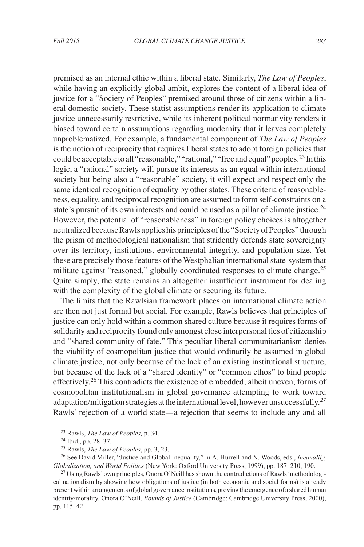premised as an internal ethic within a liberal state. Similarly, *The Law of Peoples*, while having an explicitly global ambit, explores the content of a liberal idea of justice for a "Society of Peoples" premised around those of citizens within a liberal domestic society. These statist assumptions render its application to climate justice unnecessarily restrictive, while its inherent political normativity renders it biased toward certain assumptions regarding modernity that it leaves completely unproblematized. For example, a fundamental component of *The Law of Peoples* is the notion of reciprocity that requires liberal states to adopt foreign policies that could be acceptable to all "reasonable," "rational," "free and equal" peoples.23 In this logic, a "rational" society will pursue its interests as an equal within international society but being also a "reasonable" society, it will expect and respect only the same identical recognition of equality by other states. These criteria of reasonableness, equality, and reciprocal recognition are assumed to form self-constraints on a state's pursuit of its own interests and could be used as a pillar of climate justice.<sup>24</sup> However, the potential of "reasonableness" in foreign policy choices is altogether neutralized because Rawls applies his principles of the "Society of Peoples" through the prism of methodological nationalism that stridently defends state sovereignty over its territory, institutions, environmental integrity, and population size. Yet these are precisely those features of the Westphalian international state-system that militate against "reasoned," globally coordinated responses to climate change.<sup>25</sup> Quite simply, the state remains an altogether insufficient instrument for dealing with the complexity of the global climate or securing its future.

The limits that the Rawlsian framework places on international climate action are then not just formal but social. For example, Rawls believes that principles of justice can only hold within a common shared culture because it requires forms of solidarity and reciprocity found only amongst close interpersonal ties of citizenship and "shared community of fate." This peculiar liberal communitarianism denies the viability of cosmopolitan justice that would ordinarily be assumed in global climate justice, not only because of the lack of an existing institutional structure, but because of the lack of a "shared identity" or "common ethos" to bind people effectively.<sup>26</sup> This contradicts the existence of embedded, albeit uneven, forms of cosmopolitan institutionalism in global governance attempting to work toward adaptation/mitigation strategies at the international level, however unsuccessfully.*<sup>27</sup>* Rawls' rejection of a world state—a rejection that seems to include any and all

<sup>23</sup> Rawls, *The Law of Peoples,* p. 34.

<sup>24</sup> Ibid., pp. 28–37.

<sup>25</sup> Rawls, *The Law of Peoples*, pp. 3, 23.

<sup>26</sup> See David Miller, "Justice and Global Inequality," in A. Hurrell and N. Woods, eds., *Inequality, Globalization, and World Politics* (New York: Oxford University Press, 1999), pp. 187–210, 190.

<sup>&</sup>lt;sup>27</sup> Using Rawls' own principles, Onora O'Neill has shown the contradictions of Rawls' methodological nationalism by showing how obligations of justice (in both economic and social forms) is already present within arrangements of global governance institutions, proving the emergence of a shared human identity/morality. Onora O'Neill, *Bounds of Justice* (Cambridge: Cambridge University Press, 2000), pp. 115–42.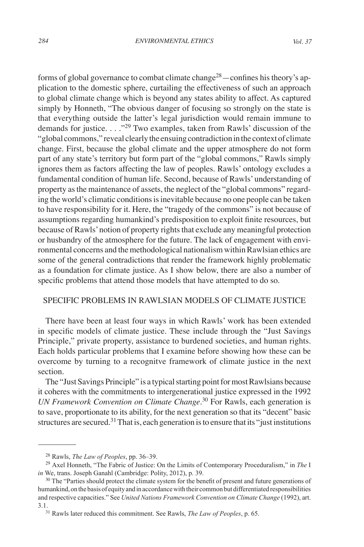forms of global governance to combat climate change<sup>28</sup>—confines his theory's application to the domestic sphere, curtailing the effectiveness of such an approach to global climate change which is beyond any states ability to affect. As captured simply by Honneth, "The obvious danger of focusing so strongly on the state is that everything outside the latter's legal jurisdiction would remain immune to demands for justice. . . ."<sup>29</sup> Two examples, taken from Rawls' discussion of the "global commons," reveal clearly the ensuing contradiction in the context of climate change. First, because the global climate and the upper atmosphere do not form part of any state's territory but form part of the "global commons," Rawls simply ignores them as factors affecting the law of peoples. Rawls' ontology excludes a fundamental condition of human life. Second, because of Rawls' understanding of property as the maintenance of assets, the neglect of the "global commons" regarding the world's climatic conditions is inevitable because no one people can be taken to have responsibility for it. Here, the "tragedy of the commons" is not because of assumptions regarding humankind's predisposition to exploit finite resources, but because of Rawls' notion of property rights that exclude any meaningful protection or husbandry of the atmosphere for the future. The lack of engagement with environmental concerns and the methodological nationalism within Rawlsian ethics are some of the general contradictions that render the framework highly problematic as a foundation for climate justice. As I show below, there are also a number of specific problems that attend those models that have attempted to do so.

# SPECIFIC PROBLEMS IN RAWLSIAN MODELS OF CLIMATE JUSTICE

There have been at least four ways in which Rawls' work has been extended in specific models of climate justice. These include through the "Just Savings Principle," private property, assistance to burdened societies, and human rights. Each holds particular problems that I examine before showing how these can be overcome by turning to a recognitve framework of climate justice in the next section.

The "Just Savings Principle" is a typical starting point for most Rawlsians because it coheres with the commitments to intergenerational justice expressed in the 1992 *UN Framework Convention on Climate Change.*<sup>30</sup> For Rawls, each generation is to save, proportionate to its ability, for the next generation so that its "decent" basic structures are secured.<sup>31</sup> That is, each generation is to ensure that its "just institutions"

<sup>28</sup> Rawls, *The Law of Peoples*, pp. 36–39.

<sup>29</sup> Axel Honneth, "The Fabric of Justice: On the Limits of Contemporary Proceduralism," in *The* I *in* We, trans. Joseph Ganahl (Cambridge: Polity, 2012), p. 39.

<sup>&</sup>lt;sup>30</sup> The "Parties should protect the climate system for the benefit of present and future generations of humankind, on the basis of equity and in accordance with their common but differentiated responsibilities and respective capacities." See *United Nations Framework Convention on Climate Change* (1992), art. 3.1.

<sup>31</sup> Rawls later reduced this commitment. See Rawls, *The Law of Peoples*, p. 65.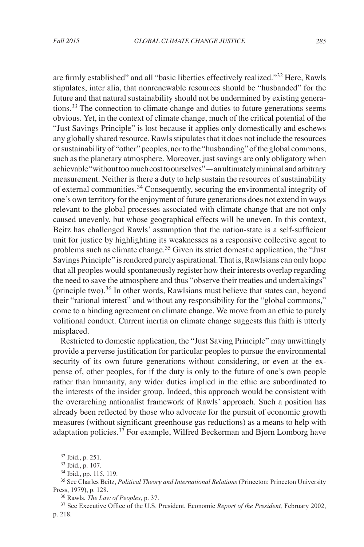are firmly established" and all "basic liberties effectively realized."<sup>32</sup> Here, Rawls stipulates, inter alia, that nonrenewable resources should be "husbanded" for the future and that natural sustainability should not be undermined by existing generations.<sup>33</sup> The connection to climate change and duties to future generations seems obvious. Yet, in the context of climate change, much of the critical potential of the "Just Savings Principle" is lost because it applies only domestically and eschews any globally shared resource. Rawls stipulates that it does not include the resources or sustainability of "other" peoples, nor to the "husbanding" of the global commons, such as the planetary atmosphere. Moreover, just savings are only obligatory when achievable "without too much cost to ourselves"—an ultimately minimal and arbitrary measurement. Neither is there a duty to help sustain the resources of sustainability of external communities.34 Consequently, securing the environmental integrity of one's own territory for the enjoyment of future generations does not extend in ways relevant to the global processes associated with climate change that are not only caused unevenly, but whose geographical effects will be uneven. In this context, Beitz has challenged Rawls' assumption that the nation-state is a self-sufficient unit for justice by highlighting its weaknesses as a responsive collective agent to problems such as climate change.<sup>35</sup> Given its strict domestic application, the "Just Savings Principle" is rendered purely aspirational. That is, Rawlsians can only hope that all peoples would spontaneously register how their interests overlap regarding the need to save the atmosphere and thus "observe their treaties and undertakings" (principle two).<sup>36</sup> In other words, Rawlsians must believe that states can, beyond their "rational interest" and without any responsibility for the "global commons," come to a binding agreement on climate change. We move from an ethic to purely volitional conduct. Current inertia on climate change suggests this faith is utterly misplaced.

Restricted to domestic application, the "Just Saving Principle" may unwittingly provide a perverse justification for particular peoples to pursue the environmental security of its own future generations without considering, or even at the expense of, other peoples, for if the duty is only to the future of one's own people rather than humanity, any wider duties implied in the ethic are subordinated to the interests of the insider group. Indeed, this approach would be consistent with the overarching nationalist framework of Rawls' approach. Such a position has already been reflected by those who advocate for the pursuit of economic growth measures (without significant greenhouse gas reductions) as a means to help with adaptation policies.<sup>37</sup> For example, Wilfred Beckerman and Bjørn Lomborg have

<sup>32</sup> Ibid., p. 251.

<sup>33</sup> Ibid., p. 107.

<sup>34</sup> Ibid., pp. 115, 119.

<sup>35</sup> See Charles Beitz, *Political Theory and International Relations* (Princeton: Princeton University Press, 1979), p. 128.

<sup>36</sup> Rawls, *The Law of Peoples*, p. 37.

<sup>37</sup> See Executive Office of the U.S. President, Economic *Report of the President,* February 2002, p. 218.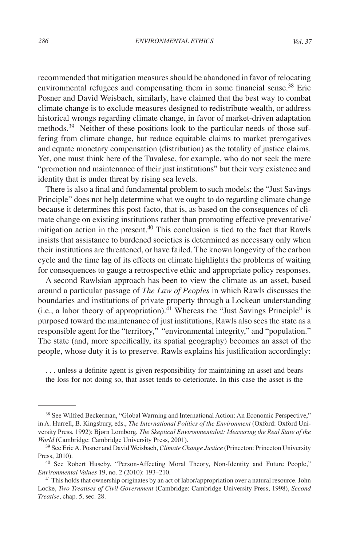recommended that mitigation measures should be abandoned in favor of relocating environmental refugees and compensating them in some financial sense.<sup>38</sup> Eric Posner and David Weisbach, similarly, have claimed that the best way to combat climate change is to exclude measures designed to redistribute wealth, or address historical wrongs regarding climate change, in favor of market-driven adaptation methods.<sup>39</sup> Neither of these positions look to the particular needs of those suffering from climate change, but reduce equitable claims to market prerogatives and equate monetary compensation (distribution) as the totality of justice claims. Yet, one must think here of the Tuvalese, for example, who do not seek the mere "promotion and maintenance of their just institutions" but their very existence and identity that is under threat by rising sea levels.

There is also a final and fundamental problem to such models: the "Just Savings Principle" does not help determine what we ought to do regarding climate change because it determines this post-facto, that is, as based on the consequences of climate change on existing institutions rather than promoting effective preventative/ mitigation action in the present. $40$  This conclusion is tied to the fact that Rawls insists that assistance to burdened societies is determined as necessary only when their institutions are threatened, or have failed. The known longevity of the carbon cycle and the time lag of its effects on climate highlights the problems of waiting for consequences to gauge a retrospective ethic and appropriate policy responses.

A second Rawlsian approach has been to view the climate as an asset, based around a particular passage of *The Law of Peoples* in which Rawls discusses the boundaries and institutions of private property through a Lockean understanding  $(i.e., a labor theory of approximation).<sup>41</sup> Whereas the "Just Savings Principle" is$ purposed toward the maintenance of just institutions, Rawls also sees the state as a responsible agent for the "territory," "environmental integrity," and "population." The state (and, more specifically, its spatial geography) becomes an asset of the people, whose duty it is to preserve. Rawls explains his justification accordingly:

. . . unless a definite agent is given responsibility for maintaining an asset and bears the loss for not doing so, that asset tends to deteriorate. In this case the asset is the

<sup>38</sup> See Wilfred Beckerman, "Global Warming and International Action: An Economic Perspective," in A. Hurrell, B. Kingsbury, eds., *The International Politics of the Environment* (Oxford: Oxford University Press, 1992); Bjørn Lomborg, *The Skeptical Environmentalist: Measuring the Real State of the World* (Cambridge: Cambridge University Press, 2001).

<sup>39</sup> See Eric A. Posner and David Weisbach, *Climate Change Justice* (Princeton: Princeton University Press, 2010).

<sup>40</sup> See Robert Huseby, "Person-Affecting Moral Theory, Non-Identity and Future People," *Environmental Values* 19, no. 2 (2010): 193–210.

<sup>41</sup> This holds that ownership originates by an act of labor/appropriation over a natural resource. John Locke, *Two Treatises of Civil Government* (Cambridge: Cambridge University Press, 1998), *Second Treatise*, chap. 5, sec. 28.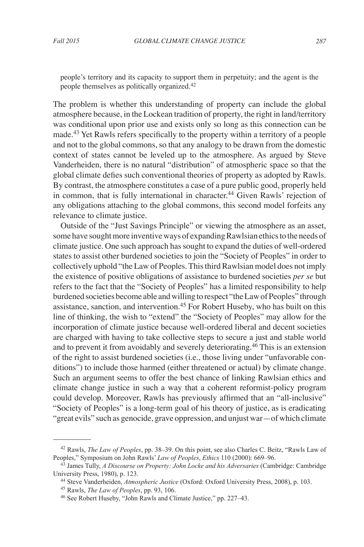people's territory and its capacity to support them in perpetuity; and the agent is the people themselves as politically organized.42

The problem is whether this understanding of property can include the global atmosphere because, in the Lockean tradition of property, the right in land/territory was conditional upon prior use and exists only so long as this connection can be made.43 Yet Rawls refers specifically to the property within a territory of a people and not to the global commons, so that any analogy to be drawn from the domestic context of states cannot be leveled up to the atmosphere. As argued by Steve Vanderheiden, there is no natural "distribution" of atmospheric space so that the global climate defies such conventional theories of property as adopted by Rawls. By contrast, the atmosphere constitutes a case of a pure public good, properly held in common, that is fully international in character.<sup>44</sup> Given Rawls' rejection of any obligations attaching to the global commons, this second model forfeits any relevance to climate justice.

Outside of the "Just Savings Principle" or viewing the atmosphere as an asset, some have sought more inventive ways of expanding Rawlsian ethics to the needs of climate justice. One such approach has sought to expand the duties of well-ordered states to assist other burdened societies to join the "Society of Peoples" in order to collectively uphold "the Law of Peoples. This third Rawlsian model does not imply the existence of positive obligations of assistance to burdened societies *per se* but refers to the fact that the "Society of Peoples" has a limited responsibility to help burdened societies become able and willing to respect "the Law of Peoples" through assistance, sanction, and intervention.45 For Robert Huseby, who has built on this line of thinking, the wish to "extend" the "Society of Peoples" may allow for the incorporation of climate justice because well-ordered liberal and decent societies are charged with having to take collective steps to secure a just and stable world and to prevent it from avoidably and severely deteriorating.46 This is an extension of the right to assist burdened societies (i.e., those living under "unfavorable conditions") to include those harmed (either threatened or actual) by climate change. Such an argument seems to offer the best chance of linking Rawlsian ethics and climate change justice in such a way that a coherent reformist-policy program could develop. Moreover, Rawls has previously affirmed that an "all-inclusive" "Society of Peoples" is a long-term goal of his theory of justice, as is eradicating "great evils" such as genocide, grave oppression, and unjust war—of which climate

<sup>42</sup> Rawls, *The Law of Peoples*, pp. 38–39. On this point, see also Charles C. Beitz, "Rawls Law of Peoples," Symposium on John Rawls' *Law of Peoples*, *Ethics* 110 (2000): 669–96.

<sup>43</sup> James Tully, *A Discourse on Property: John Locke and his Adversaries* (Cambridge: Cambridge University Press, 1980), p. 123.

<sup>44</sup> Steve Vanderheiden, *Atmospheric Justice* (Oxford: Oxford University Press, 2008), p. 103.

<sup>45</sup> Rawls, *The Law of Peoples*, pp. 93, 106.

<sup>46</sup> See Robert Huseby, "John Rawls and Climate Justice," pp. 227–43.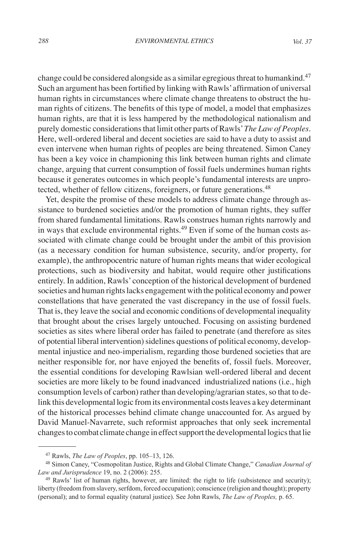change could be considered alongside as a similar egregious threat to humankind.<sup>47</sup> Such an argument has been fortified by linking with Rawls' affirmation of universal human rights in circumstances where climate change threatens to obstruct the human rights of citizens. The benefits of this type of model, a model that emphasizes human rights, are that it is less hampered by the methodological nationalism and purely domestic considerations that limit other parts of Rawls' *The Law of Peoples*. Here, well-ordered liberal and decent societies are said to have a duty to assist and even intervene when human rights of peoples are being threatened. Simon Caney has been a key voice in championing this link between human rights and climate change, arguing that current consumption of fossil fuels undermines human rights because it generates outcomes in which people's fundamental interests are unprotected, whether of fellow citizens, foreigners, or future generations.<sup>48</sup>

Yet, despite the promise of these models to address climate change through assistance to burdened societies and/or the promotion of human rights, they suffer from shared fundamental limitations. Rawls construes human rights narrowly and in ways that exclude environmental rights.<sup>49</sup> Even if some of the human costs associated with climate change could be brought under the ambit of this provision (as a necessary condition for human subsistence, security, and/or property, for example), the anthropocentric nature of human rights means that wider ecological protections, such as biodiversity and habitat, would require other justifications entirely. In addition, Rawls' conception of the historical development of burdened societies and human rights lacks engagement with the political economy and power constellations that have generated the vast discrepancy in the use of fossil fuels. That is, they leave the social and economic conditions of developmental inequality that brought about the crises largely untouched. Focusing on assisting burdened societies as sites where liberal order has failed to penetrate (and therefore as sites of potential liberal intervention) sidelines questions of political economy, developmental injustice and neo-imperialism, regarding those burdened societies that are neither responsible for, nor have enjoyed the benefits of, fossil fuels. Moreover, the essential conditions for developing Rawlsian well-ordered liberal and decent societies are more likely to be found inadvanced industrialized nations (i.e., high consumption levels of carbon) rather than developing/agrarian states, so that to delink this developmental logic from its environmental costs leaves a key determinant of the historical processes behind climate change unaccounted for. As argued by David Manuel-Navarrete, such reformist approaches that only seek incremental changes to combat climate change in effect support the developmental logics that lie

<sup>47</sup> Rawls, *The Law of Peoples*, pp. 105–13, 126.

<sup>48</sup> Simon Caney, "Cosmopolitan Justice, Rights and Global Climate Change," *Canadian Journal of Law and Jurisprudence* 19, no. 2 (2006): 255.

 $49$  Rawls' list of human rights, however, are limited: the right to life (subsistence and security); liberty (freedom from slavery, serfdom, forced occupation); conscience (religion and thought); property (personal); and to formal equality (natural justice). See John Rawls, *The Law of Peoples,* p. 65.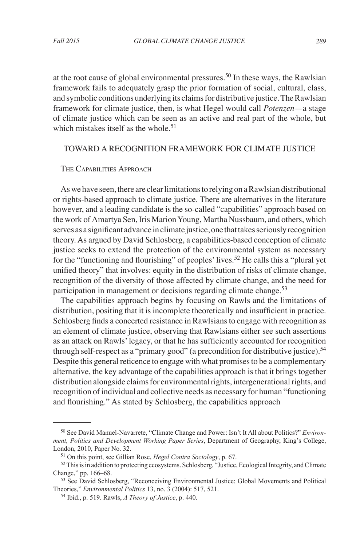at the root cause of global environmental pressures.<sup>50</sup> In these ways, the Rawlsian framework fails to adequately grasp the prior formation of social, cultural, class, and symbolic conditions underlying its claims for distributive justice. The Rawlsian framework for climate justice, then, is what Hegel would call *Potenzen*—a stage of climate justice which can be seen as an active and real part of the whole, but which mistakes itself as the whole.<sup>51</sup>

# TOWARD A RECOGNITION FRAMEWORK FOR CLIMATE JUSTICE

#### THE CAPABILITIES APPROACH

As we have seen, there are clear limitations to relying on a Rawlsian distributional or rights-based approach to climate justice. There are alternatives in the literature however, and a leading candidate is the so-called "capabilities" approach based on the work of Amartya Sen, Iris Marion Young, Martha Nussbaum, and others, which serves as a significant advance in climate justice, one that takes seriously recognition theory. As argued by David Schlosberg, a capabilities-based conception of climate justice seeks to extend the protection of the environmental system as necessary for the "functioning and flourishing" of peoples' lives.<sup>52</sup> He calls this a "plural yet unified theory" that involves: equity in the distribution of risks of climate change, recognition of the diversity of those affected by climate change, and the need for participation in management or decisions regarding climate change.<sup>53</sup>

The capabilities approach begins by focusing on Rawls and the limitations of distribution, positing that it is incomplete theoretically and insufficient in practice. Schlosberg finds a concerted resistance in Rawlsians to engage with recognition as an element of climate justice, observing that Rawlsians either see such assertions as an attack on Rawls' legacy, or that he has sufficiently accounted for recognition through self-respect as a "primary good" (a precondition for distributive justice).<sup>54</sup> Despite this general reticence to engage with what promises to be a complementary alternative, the key advantage of the capabilities approach is that it brings together distribution alongside claims for environmental rights, intergenerational rights, and recognition of individual and collective needs as necessary for human "functioning and flourishing." As stated by Schlosberg, the capabilities approach

<sup>50</sup> See David Manuel-Navarrete, "Climate Change and Power: Isn't It All about Politics?" *Environment, Politics and Development Working Paper Series*, Department of Geography, King's College, London, 2010, Paper No. 32.

<sup>51</sup> On this point, see Gillian Rose, *Hegel Contra Sociology*, p. 67.

<sup>52</sup>This is in addition to protecting ecosystems. Schlosberg, "Justice, Ecological Integrity, and Climate Change," pp. 166–68.

<sup>53</sup> See David Schlosberg, "Reconceiving Environmental Justice: Global Movements and Political Theories," *Environmental Politics* 13, no. 3 (2004): 517, 521.

<sup>54</sup> Ibid., p. 519. Rawls, *A Theory of Justice*, p. 440.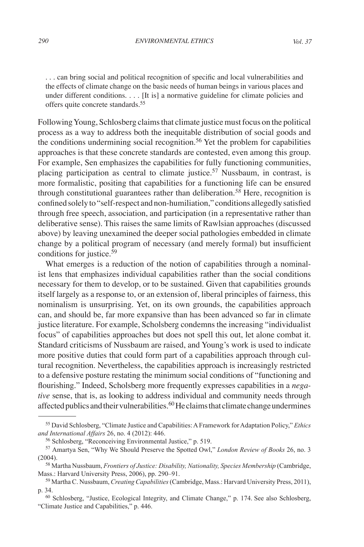. . . can bring social and political recognition of specific and local vulnerabilities and the effects of climate change on the basic needs of human beings in various places and under different conditions. . . . [It is] a normative guideline for climate policies and offers quite concrete standards.<sup>55</sup>

Following Young, Schlosberg claims that climate justice must focus on the political process as a way to address both the inequitable distribution of social goods and the conditions undermining social recognition.<sup>56</sup> Yet the problem for capabilities approaches is that these concrete standards are contested, even among this group. For example, Sen emphasizes the capabilities for fully functioning communities, placing participation as central to climate justice.<sup>57</sup> Nussbaum, in contrast, is more formalistic, positing that capabilities for a functioning life can be ensured through constitutional guarantees rather than deliberation.*<sup>58</sup>* Here, recognition is confined solely to "self-respect and non-humiliation," conditions allegedly satisfied through free speech, association, and participation (in a representative rather than deliberative sense). This raises the same limits of Rawlsian approaches (discussed above) by leaving unexamined the deeper social pathologies embedded in climate change by a political program of necessary (and merely formal) but insufficient conditions for justice.<sup>59</sup>

What emerges is a reduction of the notion of capabilities through a nominalist lens that emphasizes individual capabilities rather than the social conditions necessary for them to develop, or to be sustained. Given that capabilities grounds itself largely as a response to, or an extension of, liberal principles of fairness, this nominalism is unsurprising. Yet, on its own grounds, the capabilities approach can, and should be, far more expansive than has been advanced so far in climate justice literature. For example, Scholsberg condemns the increasing "individualist focus" of capabilities approaches but does not spell this out, let alone combat it. Standard criticisms of Nussbaum are raised, and Young's work is used to indicate more positive duties that could form part of a capabilities approach through cultural recognition. Nevertheless, the capabilities approach is increasingly restricted to a defensive posture restating the minimum social conditions of "functioning and flourishing." Indeed, Scholsberg more frequently expresses capabilities in a *negative* sense, that is, as looking to address individual and community needs through affected publics and their vulnerabilities. $60$  He claims that climate change undermines

<sup>55</sup> David Schlosberg, "Climate Justice and Capabilities: A Framework for Adaptation Policy," *Ethics and International Affairs* 26, no. 4 (2012): 446.

<sup>56</sup> Schlosberg, "Reconceiving Environmental Justice," p. 519.

<sup>57</sup> Amartya Sen, "Why We Should Preserve the Spotted Owl," *London Review of Books* 26, no. 3 (2004).

<sup>58</sup> Martha Nussbaum, *Frontiers of Justice: Disability, Nationality, Species Membership* (Cambridge, Mass.: Harvard University Press, 2006), pp. 290–91.

<sup>59</sup> Martha C. Nussbaum, *Creating Capabilities* (Cambridge, Mass.: Harvard University Press, 2011), p. 34.

<sup>60</sup> Schlosberg, "Justice, Ecological Integrity, and Climate Change," p. 174. See also Schlosberg, "Climate Justice and Capabilities," p. 446.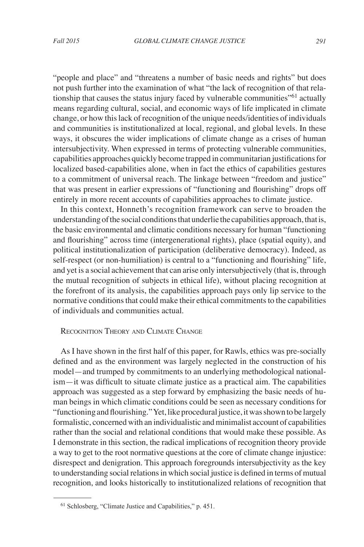"people and place" and "threatens a number of basic needs and rights" but does not push further into the examination of what "the lack of recognition of that relationship that causes the status injury faced by vulnerable communities<sup>"61</sup> actually means regarding cultural, social, and economic ways of life implicated in climate change, or how this lack of recognition of the unique needs/identities of individuals and communities is institutionalized at local, regional, and global levels. In these ways, it obscures the wider implications of climate change as a crises of human intersubjectivity. When expressed in terms of protecting vulnerable communities, capabilities approaches quickly become trapped in communitarian justifications for localized based-capabilities alone, when in fact the ethics of capabilities gestures to a commitment of universal reach. The linkage between "freedom and justice" that was present in earlier expressions of "functioning and flourishing" drops off entirely in more recent accounts of capabilities approaches to climate justice.

In this context, Honneth's recognition framework can serve to broaden the understanding of the social conditions that underlie the capabilities approach, that is, the basic environmental and climatic conditions necessary for human "functioning and flourishing" across time (intergenerational rights), place (spatial equity), and political institutionalization of participation (deliberative democracy). Indeed, as self-respect (or non-humiliation) is central to a "functioning and flourishing" life, and yet is a social achievement that can arise only intersubjectively (that is, through the mutual recognition of subjects in ethical life), without placing recognition at the forefront of its analysis, the capabilities approach pays only lip service to the normative conditions that could make their ethical commitments to the capabilities of individuals and communities actual.

### Recognition Theory and Climate Change

As I have shown in the first half of this paper, for Rawls, ethics was pre-socially defined and as the environment was largely neglected in the construction of his model—and trumped by commitments to an underlying methodological nationalism—it was difficult to situate climate justice as a practical aim. The capabilities approach was suggested as a step forward by emphasizing the basic needs of human beings in which climatic conditions could be seen as necessary conditions for "functioning and flourishing." Yet, like procedural justice, it was shown to be largely formalistic, concerned with an individualistic and minimalist account of capabilities rather than the social and relational conditions that would make these possible. As I demonstrate in this section, the radical implications of recognition theory provide a way to get to the root normative questions at the core of climate change injustice: disrespect and denigration. This approach foregrounds intersubjectivity as the key to understanding social relations in which social justice is defined in terms of mutual recognition, and looks historically to institutionalized relations of recognition that

<sup>61</sup> Schlosberg, "Climate Justice and Capabilities," p. 451.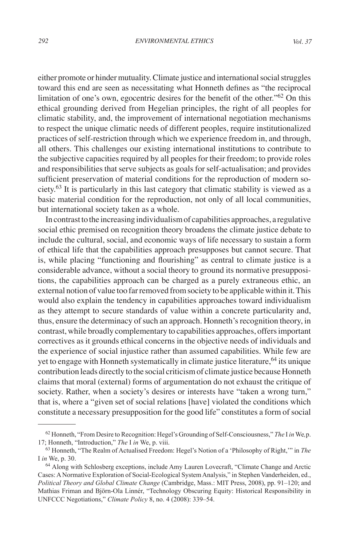either promote or hinder mutuality. Climate justice and international social struggles toward this end are seen as necessitating what Honneth defines as "the reciprocal limitation of one's own, egocentric desires for the benefit of the other."62 On this ethical grounding derived from Hegelian principles, the right of all peoples for climatic stability, and, the improvement of international negotiation mechanisms to respect the unique climatic needs of different peoples, require institutionalized practices of self-restriction through which we experience freedom in, and through, all others. This challenges our existing international institutions to contribute to the subjective capacities required by all peoples for their freedom; to provide roles and responsibilities that serve subjects as goals for self-actualisation; and provides sufficient preservation of material conditions for the reproduction of modern society.<sup>63</sup> It is particularly in this last category that climatic stability is viewed as a basic material condition for the reproduction, not only of all local communities, but international society taken as a whole.

In contrast to the increasing individualism of capabilities approaches, a regulative social ethic premised on recognition theory broadens the climate justice debate to include the cultural, social, and economic ways of life necessary to sustain a form of ethical life that the capabilities approach presupposes but cannot secure. That is, while placing "functioning and flourishing" as central to climate justice is a considerable advance, without a social theory to ground its normative presuppositions, the capabilities approach can be charged as a purely extraneous ethic, an external notion of value too far removed from society to be applicable within it. This would also explain the tendency in capabilities approaches toward individualism as they attempt to secure standards of value within a concrete particularity and, thus, ensure the determinacy of such an approach. Honneth's recognition theory, in contrast, while broadly complementary to capabilities approaches, offers important correctives as it grounds ethical concerns in the objective needs of individuals and the experience of social injustice rather than assumed capabilities. While few are yet to engage with Honneth systematically in climate justice literature,  $64$  its unique contribution leads directly to the social criticism of climate justice because Honneth claims that moral (external) forms of argumentation do not exhaust the critique of society. Rather, when a society's desires or interests have "taken a wrong turn," that is, where a "given set of social relations [have] violated the conditions which constitute a necessary presupposition for the good life" constitutes a form of social

<sup>62</sup> Honneth, "From Desire to Recognition: Hegel's Grounding of Self-Consciousness," *The* I *in* We*,*p. 17; Honneth, "Introduction," *The* I *in* We, p. viii.

<sup>63</sup> Honneth, "The Realm of Actualised Freedom: Hegel's Notion of a 'Philosophy of Right,'" in *The*  I *in* We, p. 30.

<sup>64</sup> Along with Schlosberg exceptions, include Amy Lauren Lovecraft, "Climate Change and Arctic Cases: A Normative Exploration of Social-Ecological System Analysis," in Stephen Vanderheiden, ed., *Political Theory and Global Climate Change* (Cambridge, Mass.: MIT Press, 2008), pp. 91–120; and Mathias Friman and Björn-Ola Linnér, "Technology Obscuring Equity: Historical Responsibility in UNFCCC Negotiations," *Climate Policy* 8, no. 4 (2008): 339–54.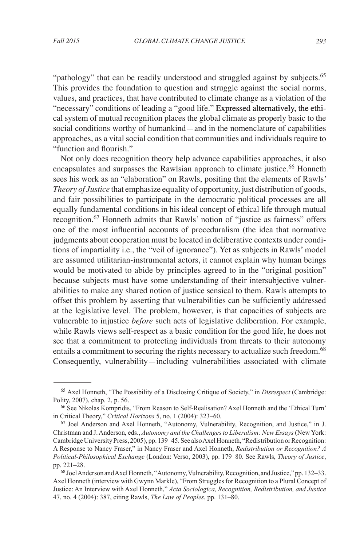"pathology" that can be readily understood and struggled against by subjects.<sup>65</sup> This provides the foundation to question and struggle against the social norms, values, and practices, that have contributed to climate change as a violation of the "necessary" conditions of leading a "good life." Expressed alternatively, the ethical system of mutual recognition places the global climate as properly basic to the social conditions worthy of humankind—and in the nomenclature of capabilities approaches, as a vital social condition that communities and individuals require to "function and flourish."

Not only does recognition theory help advance capabilities approaches, it also encapsulates and surpasses the Rawlsian approach to climate justice.<sup>66</sup> Honneth sees his work as an "elaboration" on Rawls, positing that the elements of Rawls' *Theory of Justice* that emphasize equality of opportunity, just distribution of goods, and fair possibilities to participate in the democratic political processes are all equally fundamental conditions in his ideal concept of ethical life through mutual recognition.67 Honneth admits that Rawls' notion of "justice as fairness" offers one of the most influential accounts of proceduralism (the idea that normative judgments about cooperation must be located in deliberative contexts under conditions of impartiality i.e., the "veil of ignorance"). Yet as subjects in Rawls' model are assumed utilitarian-instrumental actors, it cannot explain why human beings would be motivated to abide by principles agreed to in the "original position" because subjects must have some understanding of their intersubjective vulnerabilities to make any shared notion of justice sensical to them. Rawls attempts to offset this problem by asserting that vulnerabilities can be sufficiently addressed at the legislative level. The problem, however, is that capacities of subjects are vulnerable to injustice *before* such acts of legislative deliberation. For example, while Rawls views self-respect as a basic condition for the good life, he does not see that a commitment to protecting individuals from threats to their autonomy entails a commitment to securing the rights necessary to actualize such freedom.<sup>68</sup> Consequently, vulnerability—including vulnerabilities associated with climate

<sup>65</sup> Axel Honneth, "The Possibility of a Disclosing Critique of Society," in *Disrespect* (Cambridge: Polity, 2007), chap. 2, p. 56.

<sup>66</sup> See Nikolas Kompridis, "From Reason to Self-Realisation? Axel Honneth and the 'Ethical Turn' in Critical Theory," *Critical Horizons* 5, no. 1 (2004): 323–60.

<sup>67</sup> Joel Anderson and Axel Honneth, "Autonomy, Vulnerability, Recognition, and Justice," in J. Christman and J. Anderson, eds., *Autonomy and the Challenges to Liberalism: New Essays* (New York: Cambridge University Press, 2005), pp. 139–45. See also Axel Honneth, "Redistribution or Recognition: A Response to Nancy Fraser," in Nancy Fraser and Axel Honneth, *Redistribution or Recognition? A Political-Philosophical Exchange* (London: Verso, 2003), pp. 179–80. See Rawls, *Theory of Justice*, pp. 221–28.

<sup>68</sup> Joel Anderson and Axel Honneth, "Autonomy, Vulnerability, Recognition, and Justice," pp. 132–33. Axel Honneth (interview with Gwynn Markle), "From Struggles for Recognition to a Plural Concept of Justice: An Interview with Axel Honneth," *Acta Sociologica, Recognition, Redistribution, and Justice* 47, no. 4 (2004): 387, citing Rawls, *The Law of Peoples*, pp. 131–80.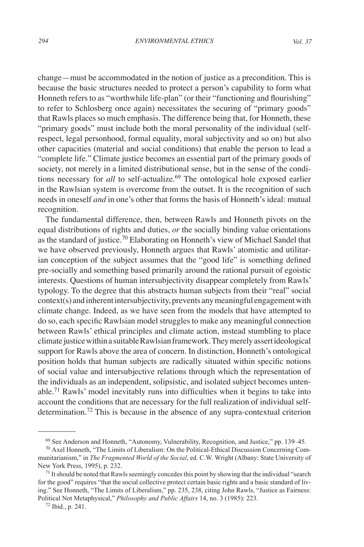change—must be accommodated in the notion of justice as a precondition. This is because the basic structures needed to protect a person's capability to form what Honneth refers to as "worthwhile life-plan" (or their "functioning and flourishing" to refer to Schlosberg once again) necessitates the securing of "primary goods" that Rawls places so much emphasis. The difference being that, for Honneth, these "primary goods" must include both the moral personality of the individual (selfrespect, legal personhood, formal equality, moral subjectivity and so on) but also other capacities (material and social conditions) that enable the person to lead a "complete life." Climate justice becomes an essential part of the primary goods of society, not merely in a limited distributional sense, but in the sense of the conditions necessary for *all* to self-actualize.<sup>69</sup> The ontological hole exposed earlier in the Rawlsian system is overcome from the outset. It is the recognition of such needs in oneself *and* in one's other that forms the basis of Honneth's ideal: mutual recognition.

The fundamental difference, then, between Rawls and Honneth pivots on the equal distributions of rights and duties, *or* the socially binding value orientations as the standard of justice.<sup>70</sup> Elaborating on Honneth's view of Michael Sandel that we have observed previously, Honneth argues that Rawls' atomistic and utilitarian conception of the subject assumes that the "good life" is something defined pre-socially and something based primarily around the rational pursuit of egoistic interests. Questions of human intersubjectivity disappear completely from Rawls' typology. To the degree that this abstracts human subjects from their "real" social context(s) and inherent intersubjectivity, prevents any meaningful engagement with climate change. Indeed, as we have seen from the models that have attempted to do so, each specific Rawlsian model struggles to make any meaningful connection between Rawls' ethical principles and climate action, instead stumbling to place climate justice within a suitable Rawlsian framework. They merely assert ideological support for Rawls above the area of concern. In distinction, Honneth's ontological position holds that human subjects are radically situated within specific notions of social value and intersubjective relations through which the representation of the individuals as an independent, solipsistic, and isolated subject becomes untenable.71 Rawls' model inevitably runs into difficulties when it begins to take into account the conditions that are necessary for the full realization of individual selfdetermination.72 This is because in the absence of any supra-contextual criterion

<sup>69</sup> See Anderson and Honneth, "Autonomy, Vulnerability, Recognition, and Justice," pp. 139–45.

<sup>70</sup> Axel Honneth, "The Limits of Liberalism: On the Political-Ethical Discussion Concerning Communitarianism," in *The Fragmented World of the Social*, ed. C.W. Wright (Albany: State University of New York Press, 1995), p. 232.

 $71$  It should be noted that Rawls seemingly concedes this point by showing that the individual "search" for the good" requires "that the social collective protect certain basic rights and a basic standard of living." See Honneth, "The Limits of Liberalism," pp. 235, 238, citing John Rawls, "Justice as Fairness: Political Not Metaphysical," *Philosophy and Public Affairs* 14, no. 3 (1985): 223.

<sup>72</sup> Ibid., p. 241.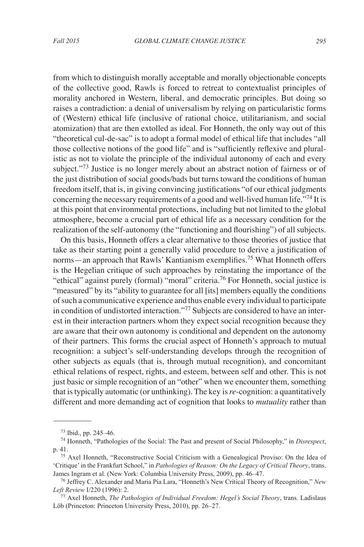from which to distinguish morally acceptable and morally objectionable concepts of the collective good, Rawls is forced to retreat to contextualist principles of morality anchored in Western, liberal, and democratic principles. But doing so raises a contradiction: a denial of universalism by relying on particularistic forms of (Western) ethical life (inclusive of rational choice, utilitarianism, and social atomization) that are then extolled as ideal. For Honneth, the only way out of this "theoretical cul-de-sac" is to adopt a formal model of ethical life that includes "all those collective notions of the good life" and is "sufficiently reflexive and pluralistic as not to violate the principle of the individual autonomy of each and every subject."<sup>73</sup> Justice is no longer merely about an abstract notion of fairness or of the just distribution of social goods/bads but turns toward the conditions of human freedom itself, that is, in giving convincing justifications "of our ethical judgments concerning the necessary requirements of a good and well-lived human life."74 It is at this point that environmental protections, including but not limited to the global atmosphere, become a crucial part of ethical life as a necessary condition for the realization of the self-autonomy (the "functioning and flourishing") of all subjects.

On this basis, Honneth offers a clear alternative to those theories of justice that take as their starting point a generally valid procedure to derive a justification of norms—an approach that Rawls' Kantianism exemplifies.<sup>75</sup> What Honneth offers is the Hegelian critique of such approaches by reinstating the importance of the "ethical" against purely (formal) "moral" criteria.<sup>76</sup> For Honneth, social justice is "measured" by its "ability to guarantee for all [its] members equally the conditions of such a communicative experience and thus enable every individual to participate in condition of undistorted interaction."77 Subjects are considered to have an interest in their interaction partners whom they expect social recognition because they are aware that their own autonomy is conditional and dependent on the autonomy of their partners. This forms the crucial aspect of Honneth's approach to mutual recognition: a subject's self-understanding develops through the recognition of other subjects as equals (that is, through mutual recognition), and concomitant ethical relations of respect, rights, and esteem, between self and other. This is not just basic or simple recognition of an "other" when we encounter them, something that is typically automatic (or unthinking). The key is *re*-cognition: a quantitatively different and more demanding act of cognition that looks to *mutuality* rather than

<sup>73</sup> Ibid., pp. 245–46.

<sup>74</sup> Honneth, "Pathologies of the Social: The Past and present of Social Philosophy," in *Disrespect*, p. 41.

<sup>75</sup> Axel Honneth, "Reconstructive Social Criticism with a Genealogical Proviso: On the Idea of 'Critique' in the Frankfurt School," in *Pathologies of Reason: On the Legacy of Critical Theory*, trans. James Ingram et al. (New York: Columbia University Press, 2009), pp. 46–47.

<sup>76</sup> Jeffrey C. Alexander and Maria Pia Lara, "Honneth's New Critical Theory of Recognition," *New Left Review* I/220 (1996): 2.

<sup>77</sup> Axel Honneth, *The Pathologies of Individual Freedom: Hegel's Social Theory*, trans. Ladislaus Löb (Princeton: Princeton University Press, 2010), pp. 26–27.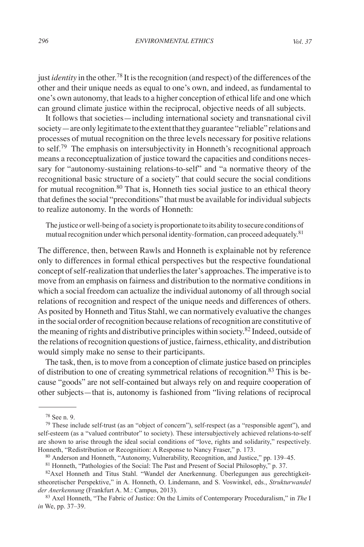just *identity* in the other.<sup>78</sup> It is the recognition (and respect) of the differences of the other and their unique needs as equal to one's own, and indeed, as fundamental to one's own autonomy, that leads to a higher conception of ethical life and one which can ground climate justice within the reciprocal, objective needs of all subjects.

It follows that societies—including international society and transnational civil society—are only legitimate to the extent that they guarantee "reliable" relations and processes of mutual recognition on the three levels necessary for positive relations to self.<sup>79</sup> The emphasis on intersubjectivity in Honneth's recognitional approach means a reconceptualization of justice toward the capacities and conditions necessary for "autonomy-sustaining relations-to-self" and "a normative theory of the recognitional basic structure of a society" that could secure the social conditions for mutual recognition.<sup>80</sup> That is, Honneth ties social justice to an ethical theory that defines the social "preconditions" that must be available for individual subjects to realize autonomy. In the words of Honneth:

The justice or well-being of a society is proportionate to its ability to secure conditions of mutual recognition under which personal identity-formation, can proceed adequately.<sup>81</sup>

The difference, then, between Rawls and Honneth is explainable not by reference only to differences in formal ethical perspectives but the respective foundational concept of self-realization that underlies the later's approaches. The imperative is to move from an emphasis on fairness and distribution to the normative conditions in which a social freedom can actualize the individual autonomy of all through social relations of recognition and respect of the unique needs and differences of others. As posited by Honneth and Titus Stahl, we can normatively evaluative the changes in the social order of recognition because relations of recognition are constitutive of the meaning of rights and distributive principles within society.<sup>82</sup> Indeed, outside of the relations of recognition questions of justice, fairness, ethicality, and distribution would simply make no sense to their participants.

The task, then, is to move from a conception of climate justice based on principles of distribution to one of creating symmetrical relations of recognition.<sup>83</sup> This is because "goods" are not self-contained but always rely on and require cooperation of other subjects—that is, autonomy is fashioned from "living relations of reciprocal

<sup>78</sup> See n. 9.

 $79$  These include self-trust (as an "object of concern"), self-respect (as a "responsible agent"), and self-esteem (as a "valued contributor" to society). These intersubjectively achieved relations-to-self are shown to arise through the ideal social conditions of "love, rights and solidarity," respectively. Honneth, "Redistribution or Recognition: A Response to Nancy Fraser," p. 173.

<sup>80</sup> Anderson and Honneth, "Autonomy, Vulnerability, Recognition, and Justice," pp. 139–45.

<sup>81</sup> Honneth, "Pathologies of the Social: The Past and Present of Social Philosophy," p. 37.

<sup>82</sup>Axel Honneth and Titus Stahl. "Wandel der Anerkennung. Überlegungen aus gerechtigkeitstheoretischer Perspektive," in A. Honneth, O. Lindemann, and S. Voswinkel, eds., *Strukturwandel der Anerkennung* (Frankfurt A. M.: Campus, 2013).

<sup>83</sup> Axel Honneth, "The Fabric of Justice: On the Limits of Contemporary Proceduralism," in *The* I *in* We, pp. 37–39.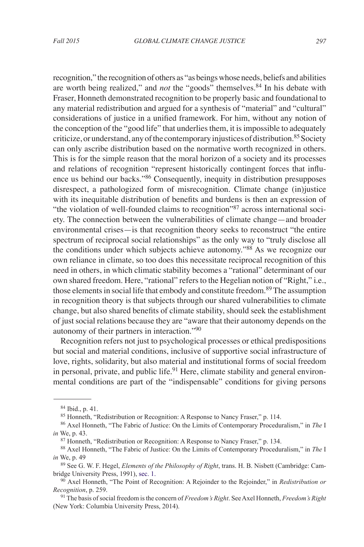recognition," the recognition of others as "as beings whose needs, beliefs and abilities are worth being realized," and *not* the "goods" themselves.<sup>84</sup> In his debate with Fraser, Honneth demonstrated recognition to be properly basic and foundational to any material redistribution and argued for a synthesis of "material" and "cultural" considerations of justice in a unified framework. For him, without any notion of the conception of the "good life" that underlies them, it is impossible to adequately criticize, or understand, any of the contemporary injustices of distribution.<sup>85</sup> Society can only ascribe distribution based on the normative worth recognized in others. This is for the simple reason that the moral horizon of a society and its processes and relations of recognition "represent historically contingent forces that influence us behind our backs."86 Consequently, inequity in distribution presupposes disrespect, a pathologized form of misrecognition. Climate change (in)justice with its inequitable distribution of benefits and burdens is then an expression of "the violation of well-founded claims to recognition"87 across international society. The connection between the vulnerabilities of climate change—and broader environmental crises—is that recognition theory seeks to reconstruct "the entire spectrum of reciprocal social relationships" as the only way to "truly disclose all the conditions under which subjects achieve autonomy."<sup>88</sup> As we recognize our own reliance in climate, so too does this necessitate reciprocal recognition of this need in others, in which climatic stability becomes a "rational" determinant of our own shared freedom. Here, "rational" refers to the Hegelian notion of "Right," i.e., those elements in social life that embody and constitute freedom.<sup>89</sup> The assumption in recognition theory is that subjects through our shared vulnerabilities to climate change, but also shared benefits of climate stability, should seek the establishment of just social relations because they are "aware that their autonomy depends on the autonomy of their partners in interaction."90

Recognition refers not just to psychological processes or ethical predispositions but social and material conditions, inclusive of supportive social infrastructure of love, rights, solidarity, but also material and institutional forms of social freedom in personal, private, and public life.<sup>91</sup> Here, climate stability and general environmental conditions are part of the "indispensable" conditions for giving persons

<sup>84</sup> Ibid., p. 41.

<sup>85</sup> Honneth, "Redistribution or Recognition: A Response to Nancy Fraser," p. 114.

<sup>86</sup> Axel Honneth, "The Fabric of Justice: On the Limits of Contemporary Proceduralism," in *The* I *in* We, p. 43.

<sup>87</sup> Honneth, "Redistribution or Recognition: A Response to Nancy Fraser," p. 134.

<sup>88</sup> Axel Honneth, "The Fabric of Justice: On the Limits of Contemporary Proceduralism," in *The* I *in* We, p. 49

<sup>89</sup> See G. W. F. Hegel, *Elements of the Philosophy of Right*, trans. H. B. Nisbett (Cambridge: Cambridge University Press, 1991), sec. 1.

<sup>90</sup> Axel Honneth, "The Point of Recognition: A Rejoinder to the Rejoinder," in *Redistribution or Recognition*, p. 259.

<sup>91</sup> The basis of social freedom is the concern of *Freedom's Right*. See Axel Honneth, *Freedom's Right* (New York: Columbia University Press, 2014).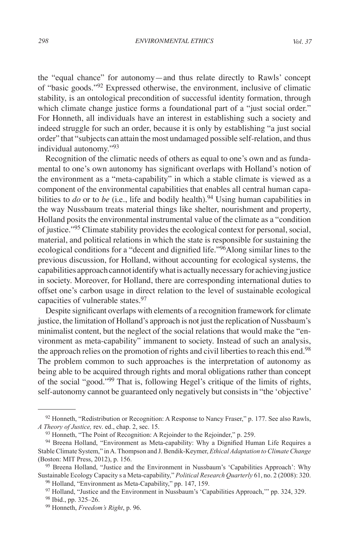the "equal chance" for autonomy—and thus relate directly to Rawls' concept of "basic goods."<sup>92</sup> Expressed otherwise, the environment, inclusive of climatic stability, is an ontological precondition of successful identity formation, through which climate change justice forms a foundational part of a "just social order." For Honneth, all individuals have an interest in establishing such a society and indeed struggle for such an order, because it is only by establishing "a just social order" that "subjects can attain the most undamaged possible self-relation, and thus individual autonomy."93

Recognition of the climatic needs of others as equal to one's own and as fundamental to one's own autonomy has significant overlaps with Holland's notion of the environment as a "meta-capability" in which a stable climate is viewed as a component of the environmental capabilities that enables all central human capabilities to *do* or to *be* (i.e., life and bodily health).<sup>94</sup> Using human capabilities in the way Nussbaum treats material things like shelter, nourishment and property, Holland posits the environmental instrumental value of the climate as a "condition of justice."95 Climate stability provides the ecological context for personal, social, material, and political relations in which the state is responsible for sustaining the ecological conditions for a "decent and dignified life."<sup>96</sup>Along similar lines to the previous discussion, for Holland, without accounting for ecological systems, the capabilities approach cannot identify what is actually necessary for achieving justice in society. Moreover, for Holland, there are corresponding international duties to offset one's carbon usage in direct relation to the level of sustainable ecological capacities of vulnerable states.<sup>97</sup>

Despite significant overlaps with elements of a recognition framework for climate justice, the limitation of Holland's approach is not just the replication of Nussbaum's minimalist content, but the neglect of the social relations that would make the "environment as meta-capability" immanent to society. Instead of such an analysis, the approach relies on the promotion of rights and civil liberties to reach this end.<sup>98</sup> The problem common to such approaches is the interpretation of autonomy as being able to be acquired through rights and moral obligations rather than concept of the social "good."99 That is, following Hegel's critique of the limits of rights, self-autonomy cannot be guaranteed only negatively but consists in "the 'objective'

 $92$  Honneth, "Redistribution or Recognition: A Response to Nancy Fraser," p. 177. See also Rawls, *A Theory of Justice,* rev. ed., chap. 2, sec. 15.

<sup>&</sup>lt;sup>93</sup> Honneth, "The Point of Recognition: A Rejoinder to the Rejoinder," p. 259.

<sup>94</sup> Breena Holland, "Environment as Meta-capability: Why a Dignified Human Life Requires a Stable Climate System," in A. Thompson and J. Bendik-Keymer, *Ethical Adaptation to Climate Change* (Boston: MIT Press, 2012), p. 156.

<sup>95</sup> Breena Holland, "Justice and the Environment in Nussbaum's 'Capabilities Approach': Why Sustainable Ecology Capacity s a Meta-capability," *Political Research Quarterly* 61, no. 2 (2008): 320. <sup>96</sup> Holland, "Environment as Meta-Capability," pp. 147, 159.

<sup>&</sup>lt;sup>97</sup> Holland, "Justice and the Environment in Nussbaum's 'Capabilities Approach," pp. 324, 329.

<sup>98</sup> Ibid., pp. 325–26.

<sup>99</sup> Honneth, *Freedom's Right*, p. 96.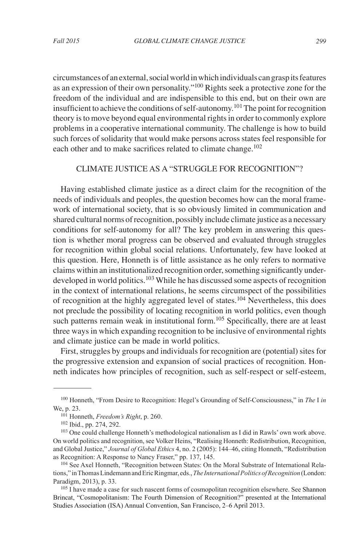circumstances of an external, social world in which individuals can grasp its features as an expression of their own personality."100 Rights seek a protective zone for the freedom of the individual and are indispensible to this end, but on their own are insufficient to achieve the conditions of self-autonomy.<sup>101</sup> The point for recognition theory is to move beyond equal environmental rights in order to commonly explore problems in a cooperative international community. The challenge is how to build such forces of solidarity that would make persons across states feel responsible for each other and to make sacrifices related to climate change.<sup>102</sup>

### CLIMATE JUSTICE AS A "STRUGGLE FOR RECOGNITION"?

Having established climate justice as a direct claim for the recognition of the needs of individuals and peoples, the question becomes how can the moral framework of international society, that is so obviously limited in communication and shared cultural norms of recognition, possibly include climate justice as a necessary conditions for self-autonomy for all? The key problem in answering this question is whether moral progress can be observed and evaluated through struggles for recognition within global social relations. Unfortunately, few have looked at this question. Here, Honneth is of little assistance as he only refers to normative claims within an institutionalized recognition order, something significantly underdeveloped in world politics.<sup>103</sup> While he has discussed some aspects of recognition in the context of international relations, he seems circumspect of the possibilities of recognition at the highly aggregated level of states. 104 Nevertheless, this does not preclude the possibility of locating recognition in world politics, even though such patterns remain weak in institutional form.<sup>105</sup> Specifically, there are at least three ways in which expanding recognition to be inclusive of environmental rights and climate justice can be made in world politics.

First, struggles by groups and individuals for recognition are (potential) sites for the progressive extension and expansion of social practices of recognition. Honneth indicates how principles of recognition, such as self-respect or self-esteem,

<sup>100</sup> Honneth, "From Desire to Recognition: Hegel's Grounding of Self-Consciousness," in *The* I *in*  We, p. 23.

<sup>101</sup> Honneth, *Freedom's Right*, p. 260.

<sup>102</sup> Ibid., pp. 274, 292.

<sup>103</sup> One could challenge Honneth's methodological nationalism as I did in Rawls' own work above. On world politics and recognition, see Volker Heins, "Realising Honneth: Redistribution, Recognition, and Global Justice," *Journal of Global Ethics* 4, no. 2 (2005): 144–46, citing Honneth, "Redistribution as Recognition: A Response to Nancy Fraser," pp. 137, 145.

<sup>104</sup> See Axel Honneth, "Recognition between States: On the Moral Substrate of International Relations," in Thomas Lindemann and Eric Ringmar, eds., *The International Politics of Recognition* (London: Paradigm, 2013), p. 33.

<sup>&</sup>lt;sup>105</sup> I have made a case for such nascent forms of cosmopolitan recognition elsewhere. See Shannon Brincat, "Cosmopolitanism: The Fourth Dimension of Recognition?" presented at the International Studies Association (ISA) Annual Convention, San Francisco, 2–6 April 2013.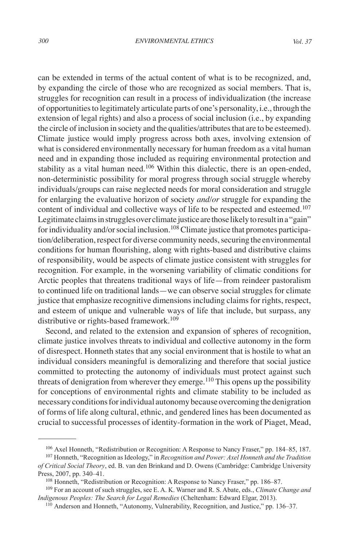can be extended in terms of the actual content of what is to be recognized, and, by expanding the circle of those who are recognized as social members. That is, struggles for recognition can result in a process of individualization (the increase of opportunities to legitimately articulate parts of one's personality, i.e., through the extension of legal rights) and also a process of social inclusion (i.e., by expanding the circle of inclusion in society and the qualities/attributes that are to be esteemed). Climate justice would imply progress across both axes, involving extension of what is considered environmentally necessary for human freedom as a vital human need and in expanding those included as requiring environmental protection and stability as a vital human need.<sup>106</sup> Within this dialectic, there is an open-ended, non-deterministic possibility for moral progress through social struggle whereby individuals/groups can raise neglected needs for moral consideration and struggle for enlarging the evaluative horizon of society *and/or* struggle for expanding the content of individual and collective ways of life to be respected and esteemed.<sup>107</sup> Legitimate claims in struggles over climate justice are those likely to result in a "gain" for individuality and/or social inclusion.<sup>108</sup> Climate justice that promotes participation/deliberation, respect for diverse community needs, securing the environmental conditions for human flourishing, along with rights-based and distributive claims of responsibility, would be aspects of climate justice consistent with struggles for recognition. For example, in the worsening variability of climatic conditions for Arctic peoples that threatens traditional ways of life—from reindeer pastoralism to continued life on traditional lands—we can observe social struggles for climate justice that emphasize recognitive dimensions including claims for rights, respect, and esteem of unique and vulnerable ways of life that include, but surpass, any distributive or rights-based framework.<sup>109</sup>

Second, and related to the extension and expansion of spheres of recognition, climate justice involves threats to individual and collective autonomy in the form of disrespect. Honneth states that any social environment that is hostile to what an individual considers meaningful is demoralizing and therefore that social justice committed to protecting the autonomy of individuals must protect against such threats of denigration from wherever they emerge.<sup>110</sup> This opens up the possibility for conceptions of environmental rights and climate stability to be included as necessary conditions for individual autonomy because overcoming the denigration of forms of life along cultural, ethnic, and gendered lines has been documented as crucial to successful processes of identity-formation in the work of Piaget, Mead,

<sup>106</sup> Axel Honneth, "Redistribution or Recognition: A Response to Nancy Fraser," pp. 184–85, 187. <sup>107</sup> Honneth, "Recognition as Ideology," in *Recognition and Power: Axel Honneth and the Tradition* 

*of Critical Social Theory*, ed. B. van den Brinkand and D. Owens (Cambridge: Cambridge University Press, 2007, pp. 340–41.

<sup>108</sup> Honneth, "Redistribution or Recognition: A Response to Nancy Fraser," pp. 186–87.

<sup>109</sup> For an account of such struggles, see E. A. K. Warner and R. S. Abate, eds., *Climate Change and Indigenous Peoples: The Search for Legal Remedies* (Cheltenham: Edward Elgar, 2013).

<sup>110</sup> Anderson and Honneth, "Autonomy, Vulnerability, Recognition, and Justice," pp. 136–37.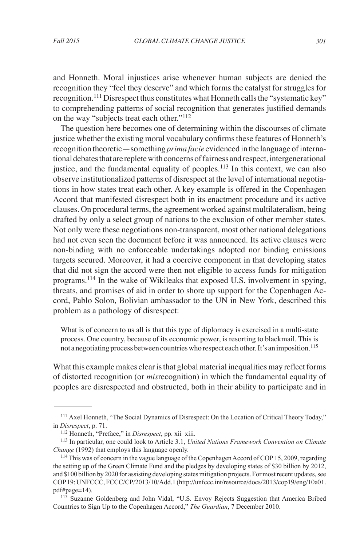and Honneth. Moral injustices arise whenever human subjects are denied the recognition they "feel they deserve" and which forms the catalyst for struggles for recognition.111 Disrespect thus constitutes what Honneth calls the "systematic key" to comprehending patterns of social recognition that generates justified demands on the way "subjects treat each other."<sup>112</sup>

The question here becomes one of determining within the discourses of climate justice whether the existing moral vocabulary confirms these features of Honneth's recognition theoretic—something *prima facie* evidenced in the language of international debates that are replete with concerns of fairness and respect, intergenerational justice, and the fundamental equality of peoples.<sup>113</sup> In this context, we can also observe institutionalized patterns of disrespect at the level of international negotiations in how states treat each other. A key example is offered in the Copenhagen Accord that manifested disrespect both in its enactment procedure and its active clauses. On procedural terms, the agreement worked against multilateralism, being drafted by only a select group of nations to the exclusion of other member states. Not only were these negotiations non-transparent, most other national delegations had not even seen the document before it was announced. Its active clauses were non-binding with no enforceable undertakings adopted nor binding emissions targets secured. Moreover, it had a coercive component in that developing states that did not sign the accord were then not eligible to access funds for mitigation programs.<sup>114</sup> In the wake of Wikileaks that exposed U.S. involvement in spying, threats, and promises of aid in order to shore up support for the Copenhagen Accord, Pablo Solon, Bolivian ambassador to the UN in New York, described this problem as a pathology of disrespect:

What is of concern to us all is that this type of diplomacy is exercised in a multi-state process. One country, because of its economic power, is resorting to blackmail. This is not a negotiating process between countries who respect each other. It's an imposition.<sup>115</sup>

What this example makes clear is that global material inequalities may reflect forms of distorted recognition (or *mis*recognition) in which the fundamental equality of peoples are disrespected and obstructed, both in their ability to participate and in

<sup>111</sup> Axel Honneth, "The Social Dynamics of Disrespect: On the Location of Critical Theory Today," in *Disrespect*, p. 71.

<sup>112</sup> Honneth, "Preface," in *Disrespect*, pp. xii–xiii.

<sup>113</sup> In particular, one could look to Article 3.1, *United Nations Framework Convention on Climate Change* (1992) that employs this language openly.

<sup>114</sup> This was of concern in the vague language of the Copenhagen Accord of COP 15, 2009, regarding the setting up of the Green Climate Fund and the pledges by developing states of \$30 billion by 2012, and \$100 billion by 2020 for assisting developing states mitigation projects. For most recent updates, see COP 19: UNFCCC, FCCC/CP/2013/10/Add.1 (http://unfccc.int/resource/docs/2013/cop19/eng/10a01. pdf#page=14).

<sup>115</sup> Suzanne Goldenberg and John Vidal, "U.S. Envoy Rejects Suggestion that America Bribed Countries to Sign Up to the Copenhagen Accord," *The Guardian*, 7 December 2010.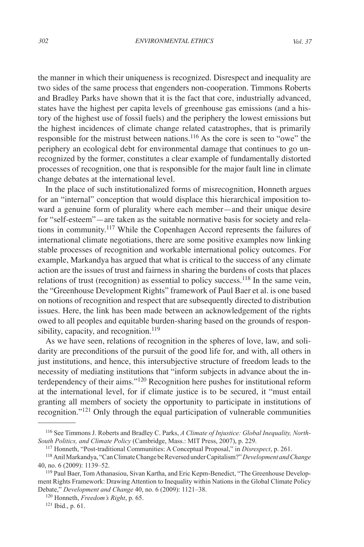the manner in which their uniqueness is recognized. Disrespect and inequality are two sides of the same process that engenders non-cooperation. Timmons Roberts and Bradley Parks have shown that it is the fact that core, industrially advanced, states have the highest per capita levels of greenhouse gas emissions (and a history of the highest use of fossil fuels) and the periphery the lowest emissions but the highest incidences of climate change related catastrophes, that is primarily responsible for the mistrust between nations.<sup>116</sup> As the core is seen to "owe" the periphery an ecological debt for environmental damage that continues to go unrecognized by the former, constitutes a clear example of fundamentally distorted processes of recognition, one that is responsible for the major fault line in climate change debates at the international level.

In the place of such institutionalized forms of misrecognition, Honneth argues for an "internal" conception that would displace this hierarchical imposition toward a genuine form of plurality where each member—and their unique desire for "self-esteem"—are taken as the suitable normative basis for society and relations in community.117 While the Copenhagen Accord represents the failures of international climate negotiations, there are some positive examples now linking stable processes of recognition and workable international policy outcomes. For example, Markandya has argued that what is critical to the success of any climate action are the issues of trust and fairness in sharing the burdens of costs that places relations of trust (recognition) as essential to policy success.<sup>118</sup> In the same vein, the "Greenhouse Development Rights" framework of Paul Baer et al. is one based on notions of recognition and respect that are subsequently directed to distribution issues. Here, the link has been made between an acknowledgement of the rights owed to all peoples and equitable burden-sharing based on the grounds of responsibility, capacity, and recognition.<sup>119</sup>

As we have seen, relations of recognition in the spheres of love, law, and solidarity are preconditions of the pursuit of the good life for, and with, all others in just institutions, and hence, this intersubjective structure of freedom leads to the necessity of mediating institutions that "inform subjects in advance about the interdependency of their aims."120 Recognition here pushes for institutional reform at the international level, for if climate justice is to be secured, it "must entail granting all members of society the opportunity to participate in institutions of recognition."121 Only through the equal participation of vulnerable communities

<sup>116</sup> See Timmons J. Roberts and Bradley C. Parks, *A Climate of Injustice: Global Inequality, North-South Politics, and Climate Policy* (Cambridge, Mass.: MIT Press, 2007), p. 229.

<sup>117</sup> Honneth, "Post-traditional Communities: A Conceptual Proposal," in *Disrespect*, p. 261.

<sup>118</sup>Anil Markandya, "Can Climate Change be Reversed under Capitalism?" *Development and Change* 40, no. 6 (2009): 1139–52.

<sup>&</sup>lt;sup>119</sup> Paul Baer, Tom Athanasiou, Sivan Kartha, and Eric Kepm-Benedict, "The Greenhouse Development Rights Framework: Drawing Attention to Inequality within Nations in the Global Climate Policy Debate," *Development and Change* 40, no. 6 (2009): 1121–38.

<sup>120</sup> Honneth, *Freedom's Right*, p. 65.

<sup>121</sup> Ibid., p. 61.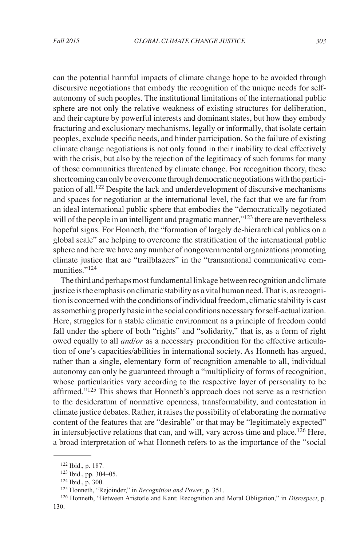can the potential harmful impacts of climate change hope to be avoided through discursive negotiations that embody the recognition of the unique needs for selfautonomy of such peoples. The institutional limitations of the international public sphere are not only the relative weakness of existing structures for deliberation, and their capture by powerful interests and dominant states, but how they embody fracturing and exclusionary mechanisms, legally or informally, that isolate certain peoples, exclude specific needs, and hinder participation. So the failure of existing climate change negotiations is not only found in their inability to deal effectively with the crisis, but also by the rejection of the legitimacy of such forums for many of those communities threatened by climate change. For recognition theory, these shortcoming can only be overcome through democratic negotiations with the participation of all.122 Despite the lack and underdevelopment of discursive mechanisms and spaces for negotiation at the international level, the fact that we are far from an ideal international public sphere that embodies the "democratically negotiated will of the people in an intelligent and pragmatic manner," $^{123}$  there are nevertheless hopeful signs. For Honneth, the "formation of largely de-hierarchical publics on a global scale" are helping to overcome the stratification of the international public sphere and here we have any number of nongovernmental organizations promoting climate justice that are "trailblazers" in the "transnational communicative communities."<sup>124</sup>

The third and perhaps most fundamental linkage between recognition and climate justice is the emphasis on climatic stability as a vital human need. That is, as recognition is concerned with the conditions of individual freedom, climatic stability is cast as something properly basic in the social conditions necessary for self-actualization. Here, struggles for a stable climatic environment as a principle of freedom could fall under the sphere of both "rights" and "solidarity," that is, as a form of right owed equally to all *and/or* as a necessary precondition for the effective articulation of one's capacities/abilities in international society. As Honneth has argued, rather than a single, elementary form of recognition amenable to all, individual autonomy can only be guaranteed through a "multiplicity of forms of recognition, whose particularities vary according to the respective layer of personality to be affirmed."<sup>125</sup> This shows that Honneth's approach does not serve as a restriction to the desideratum of normative openness, transformability, and contestation in climate justice debates. Rather, it raises the possibility of elaborating the normative content of the features that are "desirable" or that may be "legitimately expected" in intersubjective relations that can, and will, vary across time and place.<sup>126</sup> Here, a broad interpretation of what Honneth refers to as the importance of the "social

<sup>122</sup> Ibid., p. 187.

<sup>123</sup> Ibid., pp. 304–05.

<sup>124</sup> Ibid., p. 300.

<sup>125</sup> Honneth, "Rejoinder," in *Recognition and Power*, p. 351.

<sup>126</sup> Honneth, "Between Aristotle and Kant: Recognition and Moral Obligation," in *Disrespect*, p. 130.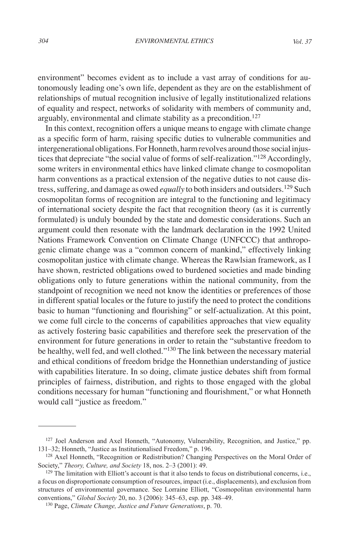environment" becomes evident as to include a vast array of conditions for autonomously leading one's own life, dependent as they are on the establishment of relationships of mutual recognition inclusive of legally institutionalized relations of equality and respect, networks of solidarity with members of community and, arguably, environmental and climate stability as a precondition.<sup>127</sup>

In this context, recognition offers a unique means to engage with climate change as a specific form of harm, raising specific duties to vulnerable communities and intergenerational obligations. For Honneth, harm revolves around those social injustices that depreciate "the social value of forms of self-realization."<sup>128</sup> Accordingly, some writers in environmental ethics have linked climate change to cosmopolitan harm conventions as a practical extension of the negative duties to not cause distress, suffering, and damage as owed *equally* to both insiders and outsiders.129 Such cosmopolitan forms of recognition are integral to the functioning and legitimacy of international society despite the fact that recognition theory (as it is currently formulated) is unduly bounded by the state and domestic considerations. Such an argument could then resonate with the landmark declaration in the 1992 United Nations Framework Convention on Climate Change (UNFCCC) that anthropogenic climate change was a "common concern of mankind," effectively linking cosmopolitan justice with climate change. Whereas the Rawlsian framework, as I have shown, restricted obligations owed to burdened societies and made binding obligations only to future generations within the national community, from the standpoint of recognition we need not know the identities or preferences of those in different spatial locales or the future to justify the need to protect the conditions basic to human "functioning and flourishing" or self-actualization. At this point, we come full circle to the concerns of capabilities approaches that view equality as actively fostering basic capabilities and therefore seek the preservation of the environment for future generations in order to retain the "substantive freedom to be healthy, well fed, and well clothed."<sup>130</sup> The link between the necessary material and ethical conditions of freedom bridge the Honnethian understanding of justice with capabilities literature. In so doing, climate justice debates shift from formal principles of fairness, distribution, and rights to those engaged with the global conditions necessary for human "functioning and flourishment," or what Honneth would call "justice as freedom."

<sup>127</sup> Joel Anderson and Axel Honneth, "Autonomy, Vulnerability, Recognition, and Justice," pp. 131–32; Honneth, "Justice as Institutionalised Freedom," p. 196.

<sup>128</sup> Axel Honneth, "Recognition or Redistribution? Changing Perspectives on the Moral Order of Society," *Theory, Culture, and Society* 18, nos. 2–3 (2001): 49.

<sup>&</sup>lt;sup>129</sup> The limitation with Elliott's account is that it also tends to focus on distributional concerns, i.e., a focus on disproportionate consumption of resources, impact (i.e., displacements), and exclusion from structures of environmental governance. See Lorraine Elliott, "Cosmopolitan environmental harm conventions," *Global Society* 20, no. 3 (2006): 345–63, esp. pp. 348–49.

<sup>130</sup> Page, *Climate Change, Justice and Future Generations*, p. 70.